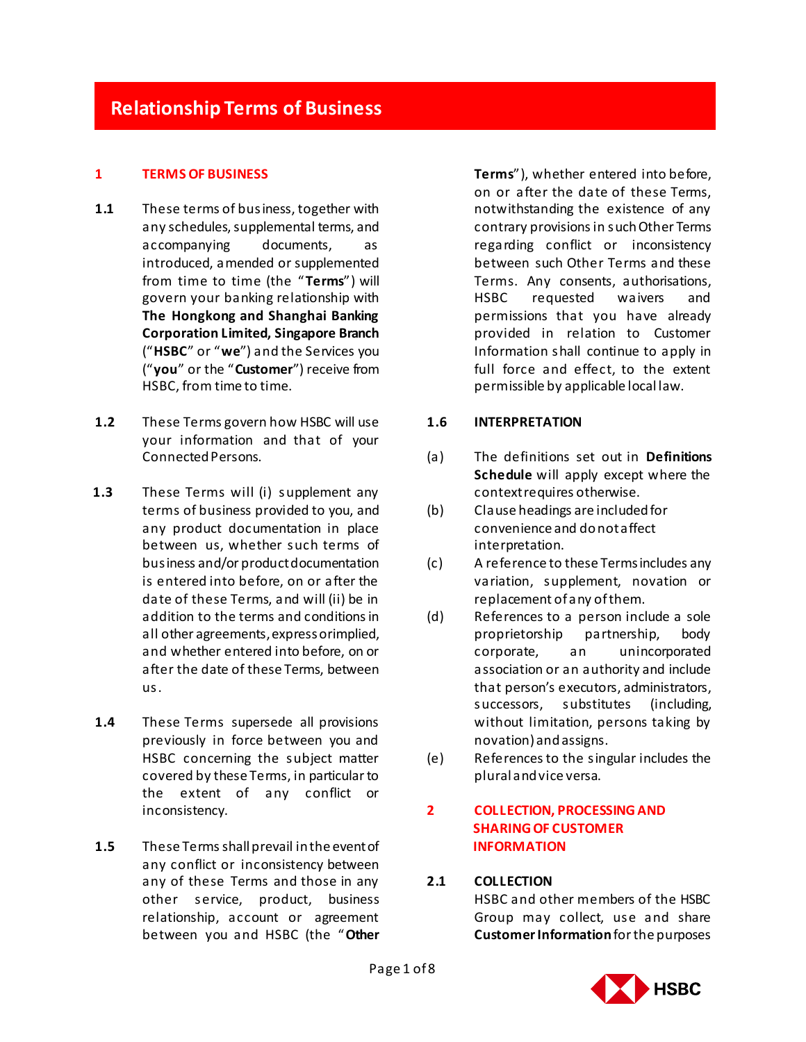# **Relationship Terms of Business**

#### **1 TERMS OF BUSINESS**

- **1.1** These terms of business, together with any schedules, supplemental terms, and accompanying documents, as introduced, amended or supplemented from time to time (the "**Terms**") will govern your banking relationship with **The Hongkong and Shanghai Banking Corporation Limited, Singapore Branch** ("**HSBC**" or "**we**") and the Services you ("**you**" or the "**Customer**") receive from HSBC, from time to time.
- **1.2** These Terms govern how HSBC will use your information and that of your Connected Persons.
- **1.3** These Terms will (i) supplement any terms of business provided to you, and any product documentation in place between us, whether such terms of business and/or product documentation is entered into before, on or after the date of these Terms, and will (ii) be in addition to the terms and conditions in all other agreements, express or implied, and whether entered into before, on or after the date of these Terms, between us.
- **1.4** These Terms supersede all provisions previously in force between you and HSBC concerning the subject matter covered by these Terms, in particular to the extent of any conflict or inconsistency.
- **1.5** These Terms shall prevail in the event of any conflict or inconsistency between any of these Terms and those in any other service, product, business relationship, account or agreement between you and HSBC (the "**Other**

**Terms**"), whether entered into before, on or after the date of these Terms, notwithstanding the existence of any contrary provisions in such Other Terms regarding conflict or inconsistency between such Other Terms and these Terms. Any consents, authorisations, HSBC requested waivers and permissions that you have already provided in relation to Customer Information shall continue to apply in full force and effect, to the extent permissible by applicable local law.

#### **1.6 INTERPRETATION**

- (a) The definitions set out in **Definitions Schedule** will apply except where the context requires otherwise.
- (b) Clause headings are included for convenience and do not affect interpretation.
- (c) A reference to these Terms includes any variation, supplement, novation or replacement of any of them.
- (d) References to a person include a sole proprietorship partnership, body corporate, an unincorporated association or an authority and include that person's executors, administrators, successors, substitutes (including, without limitation, persons taking by novation) and assigns.
- (e) References to the singular includes the plural and vice versa.

## **2 COLLECTION, PROCESSING AND SHARING OF CUSTOMER INFORMATION**

#### **2.1 COLLECTION**

HSBC and other members of the HSBC Group may collect, use and share **Customer Information** for the purposes

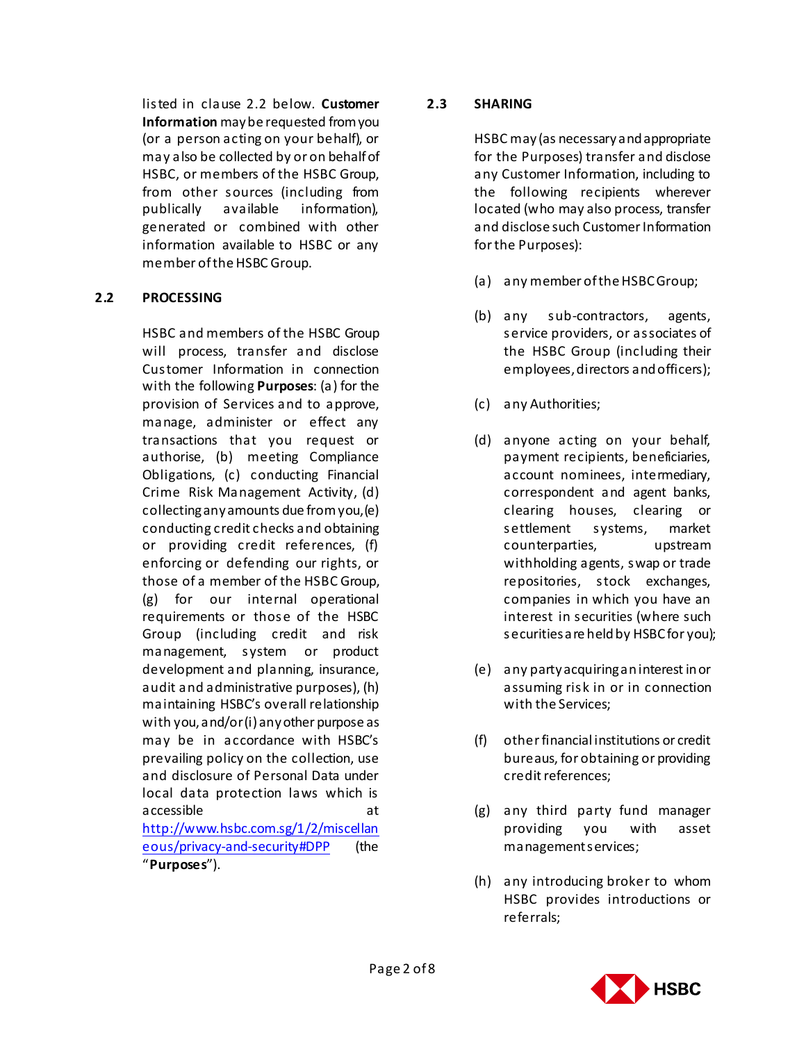listed in clause 2.2 below. **Customer Information** may be requested from you (or a person acting on your behalf), or may also be collected by or on behalf of HSBC, or members of the HSBC Group, from other sources (including from publically available information), generated or combined with other information available to HSBC or any member of the HSBC Group.

### **2.2 PROCESSING**

HSBC and members of the HSBC Group will process, transfer and disclose Customer Information in connection with the following **Purposes**: (a) for the provision of Services and to approve, manage, administer or effect any transactions that you request or authorise, (b) meeting Compliance Obligations, (c) conducting Financial Crime Risk Management Activity, (d) collecting any amounts due from you, (e) conducting credit checks and obtaining or providing credit references, (f) enforcing or defending our rights, or those of a member of the HSBC Group, (g) for our internal operational requirements or those of the HSBC Group (including credit and risk management, system or product development and planning, insurance, audit and administrative purposes), (h) maintaining HSBC's overall relationship with you, and/or (i) any other purpose as may be in accordance with HSBC's prevailing policy on the collection, use and disclosure of Personal Data under local data protection laws which is accessible at [http://www.hsbc.com.sg/1/2/miscellan](http://www.hsbc.com.sg/1/2/miscellaneous/privacy-and-security) [eous/privacy-and-security#DPP](http://www.hsbc.com.sg/1/2/miscellaneous/privacy-and-security) (the "**Purposes**").

## **2.3 SHARING**

HSBC may (as necessary and appropriate for the Purposes) transfer and disclose any Customer Information, including to the following recipients wherever located (who may also process, transfer and disclose such Customer Information for the Purposes):

- (a) any member of the HSBC Group;
- (b) any sub-contractors, agents, service providers, or associates of the HSBC Group (including their employees, directors and officers);
- (c) any Authorities;
- (d) anyone acting on your behalf, payment recipients, beneficiaries, account nominees, intermediary, correspondent and agent banks, clearing houses, clearing or settlement systems, market counterparties, upstream withholding agents, swap or trade repositories, stock exchanges, companies in which you have an interest in securities (where such securities are held by HSBC for you);
- (e) any party acquiring an interest in or assuming risk in or in connection with the Services;
- (f) other financial institutions or credit bureaus, for obtaining or providing credit references;
- (g) any third party fund manager providing you with asset management services;
- (h) any introducing broker to whom HSBC provides introductions or referrals;

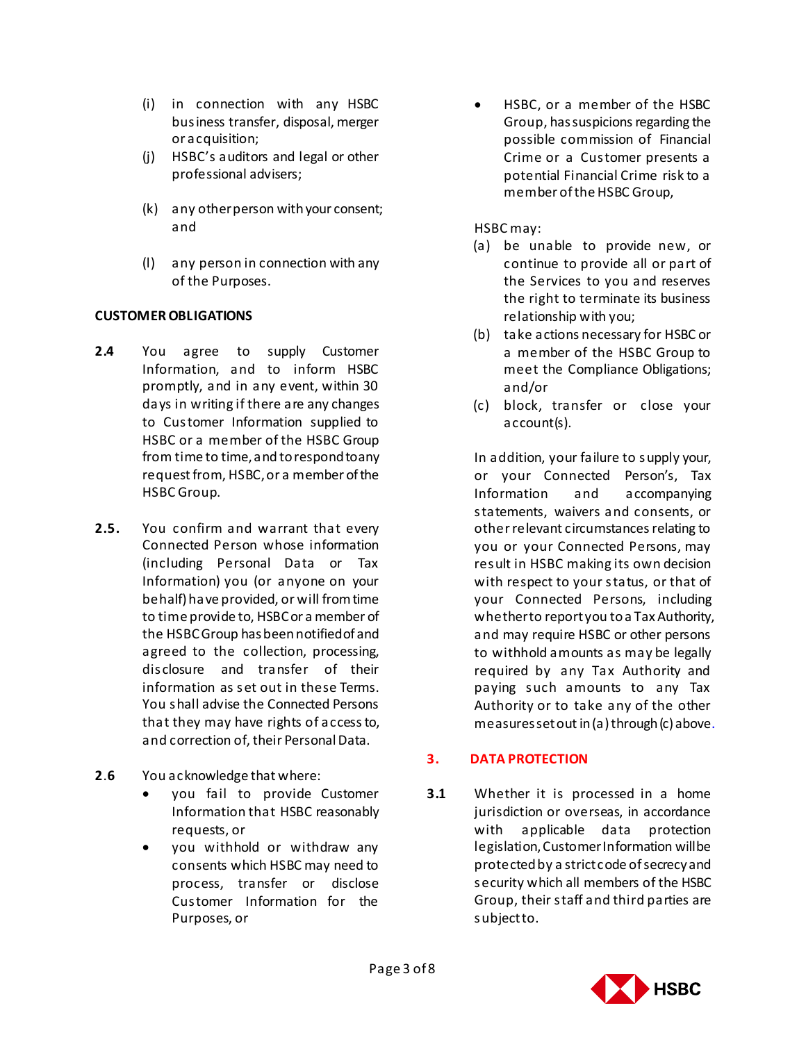- (i) in connection with any HSBC business transfer, disposal, merger or acquisition;
- (j) HSBC's auditors and legal or other professional advisers;
- (k) any other person with your consent; and
- (l) any person in connection with any of the Purposes.

## **CUSTOMER OBLIGATIONS**

- **2.4** You agree to supply Customer Information, and to inform HSBC promptly, and in any event, within 30 days in writing if there are any changes to Customer Information supplied to HSBC or a member of the HSBC Group from time to time, and to respond to any request from, HSBC, or a member of the HSBC Group.
- **2.5.** You confirm and warrant that every Connected Person whose information (including Personal Data or Tax Information) you (or anyone on your behalf) have provided, or will from time to time provide to, HSBC or a member of the HSBC Group has been notified of and agreed to the collection, processing, disclosure and transfer of their information as set out in these Terms. You shall advise the Connected Persons that they may have rights of access to, and correction of, their Personal Data.
- **2**.**6** You acknowledge that where:
	- you fail to provide Customer Information that HSBC reasonably requests, or
	- you withhold or withdraw any consents which HSBC may need to process, transfer or disclose Customer Information for the Purposes, or

 HSBC, or a member of the HSBC Group, has suspicions regarding the possible commission of Financial Crime or a Customer presents a potential Financial Crime risk to a member of the HSBC Group,

## HSBC may:

- (a) be unable to provide new, or continue to provide all or part of the Services to you and reserves the right to terminate its business relationship with you;
- (b) take actions necessary for HSBC or a member of the HSBC Group to meet the Compliance Obligations; and/or
- (c)block, transfer or close your account(s).

In addition, your failure to supply your, or your Connected Person's, Tax Information and accompanying statements, waivers and consents, or other relevant circumstances relating to you or your Connected Persons, may result in HSBC making its own decision with respect to your status, or that of your Connected Persons, including whether to report you to a Tax Authority, and may require HSBC or other persons to withhold amounts as may be legally required by any Tax Authority and paying such amounts to any Tax Authority or to take any of the other measures set out in (a) through (c) above.

## **3. DATA PROTECTION**

**3.1** Whether it is processed in a home jurisdiction or overseas, in accordance with applicable data protection legislation, Customer Information will be protected by a strict code of secrecy and security which all members of the HSBC Group, their staff and third parties are subject to.

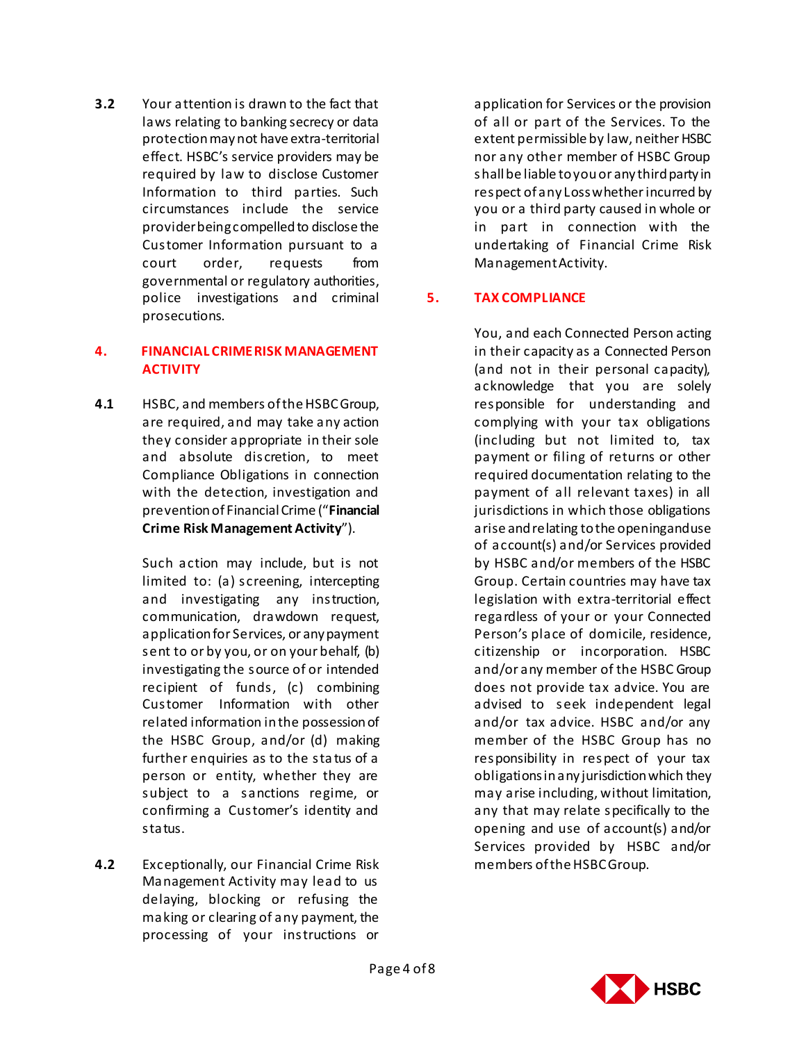**3.2** Your attention is drawn to the fact that laws relating to banking secrecy or data protection may not have extra-territorial effect. HSBC's service providers may be required by law to disclose Customer Information to third parties. Such circumstances include the service provider being compelled to disclose the Customer Information pursuant to a court order, requests from governmental or regulatory authorities, police investigations and criminal prosecutions.

## **4. FINANCIAL CRIMERISK MANAGEMENT ACTIVITY**

**4.1** HSBC, and members of the HSBC Group, are required, and may take any action they consider appropriate in their sole and absolute discretion, to meet Compliance Obligations in connection with the detection, investigation and prevention of Financial Crime ("**Financial Crime Risk Management Activity**").

> Such action may include, but is not limited to: (a) screening, intercepting and investigating any instruction, communication, drawdown request, application for Services, or any payment sent to or by you, or on your behalf, (b) investigating the source of or intended recipient of funds, (c) combining Customer Information with other related information in the possession of the HSBC Group, and/or (d) making further enquiries as to the sta tus of a person or entity, whether they are subject to a sanctions regime, or confirming a Customer's identity and status.

**4.2** Exceptionally, our Financial Crime Risk Management Activity may lead to us delaying, blocking or refusing the making or clearing of any payment, the processing of your instructions or

application for Services or the provision of all or part of the Services. To the extent permissible by law, neither HSBC nor any other member of HSBC Group shall be liable to you or any third party in respect of any Loss whether incurred by you or a third party caused in whole or in part in connection with the undertaking of Financial Crime Risk Management Activity.

## **5. TAX COMPLIANCE**

You, and each Connected Person acting in their capacity as a Connected Person (and not in their personal capacity), acknowledge that you are solely responsible for understanding and complying with your tax obligations (including but not limited to, tax payment or filing of returns or other required documentation relating to the payment of all relevant taxes) in all jurisdictions in which those obligations arise and relating to the opening and use of account(s) and/or Services provided by HSBC and/or members of the HSBC Group. Certain countries may have tax legislation with extra-territorial effect regardless of your or your Connected Person's place of domicile, residence, citizenship or incorporation. HSBC and/or any member of the HSBC Group does not provide tax advice. You are advised to seek independent legal and/or tax advice. HSBC and/or any member of the HSBC Group has no responsibility in respect of your tax obligations in any jurisdiction which they may arise including, without limitation, any that may relate specifically to the opening and use of account(s) and/or Services provided by HSBC and/or members of the HSBC Group.

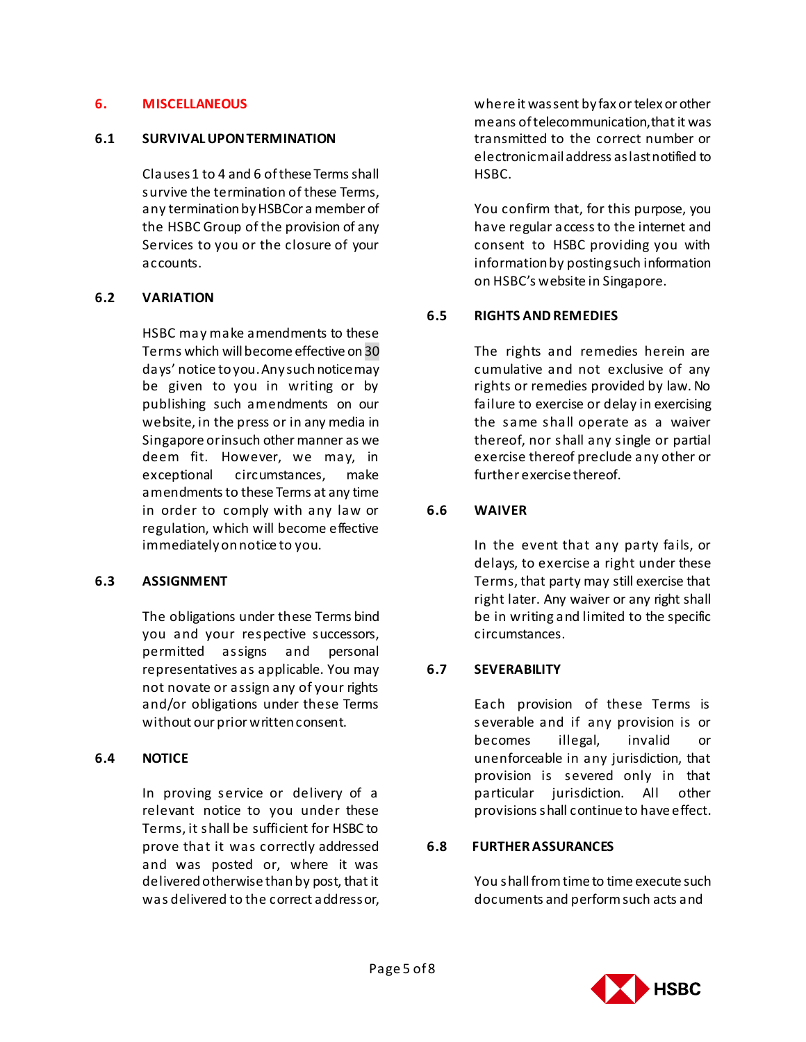#### **6. MISCELLANEOUS**

#### **6.1 SURVIVAL UPON TERMINATION**

Clauses 1 to 4 and 6 of these Terms shall survive the termination of these Terms, any termination by HSBC or a member of the HSBC Group of the provision of any Services to you or the closure of your accounts.

### **6.2 VARIATION**

HSBC may make amendments to these Terms which will become effective on 30 days' notice to you. Any such notice may be given to you in writing or by publishing such amendments on our website, in the press or in any media in Singapore or in such other manner as we deem fit. However, we may, in exceptional circumstances, make amendments to these Terms at any time in order to comply with any law or regulation, which will become effective immediately on notice to you.

### **6.3 ASSIGNMENT**

The obligations under these Terms bind you and your respective successors, permitted assigns and personal representatives as applicable. You may not novate or assign any of your rights and/or obligations under these Terms without our prior written consent.

### **6.4 NOTICE**

In proving service or delivery of a relevant notice to you under these Terms, it shall be sufficient for HSBC to prove that it was correctly addressed and was posted or, where it was delivered otherwise than by post, that it was delivered to the correct address or,

where it was sent by fax or telex or other means of telecommunication, that it was transmitted to the correct number or electronic mail address as last notified to HSBC.

You confirm that, for this purpose, you have regular access to the internet and consent to HSBC providing you with information by posting such information on HSBC's website in Singapore.

## **6.5 RIGHTS AND REMEDIES**

The rights and remedies herein are cumulative and not exclusive of any rights or remedies provided by law. No failure to exercise or delay in exercising the same shall operate as a waiver thereof, nor shall any single or partial exercise thereof preclude any other or further exercise thereof.

## **6.6 WAIVER**

In the event that any party fails, or delays, to exercise a right under these Terms, that party may still exercise that right later. Any waiver or any right shall be in writing and limited to the specific circumstances.

## **6.7 SEVERABILITY**

Each provision of these Terms is severable and if any provision is or becomes illegal, invalid or unenforceable in any jurisdiction, that provision is severed only in that particular jurisdiction. All other provisions shall continue to have effect.

### **6.8 FURTHER ASSURANCES**

You shall from time to time execute such documents and perform such acts and

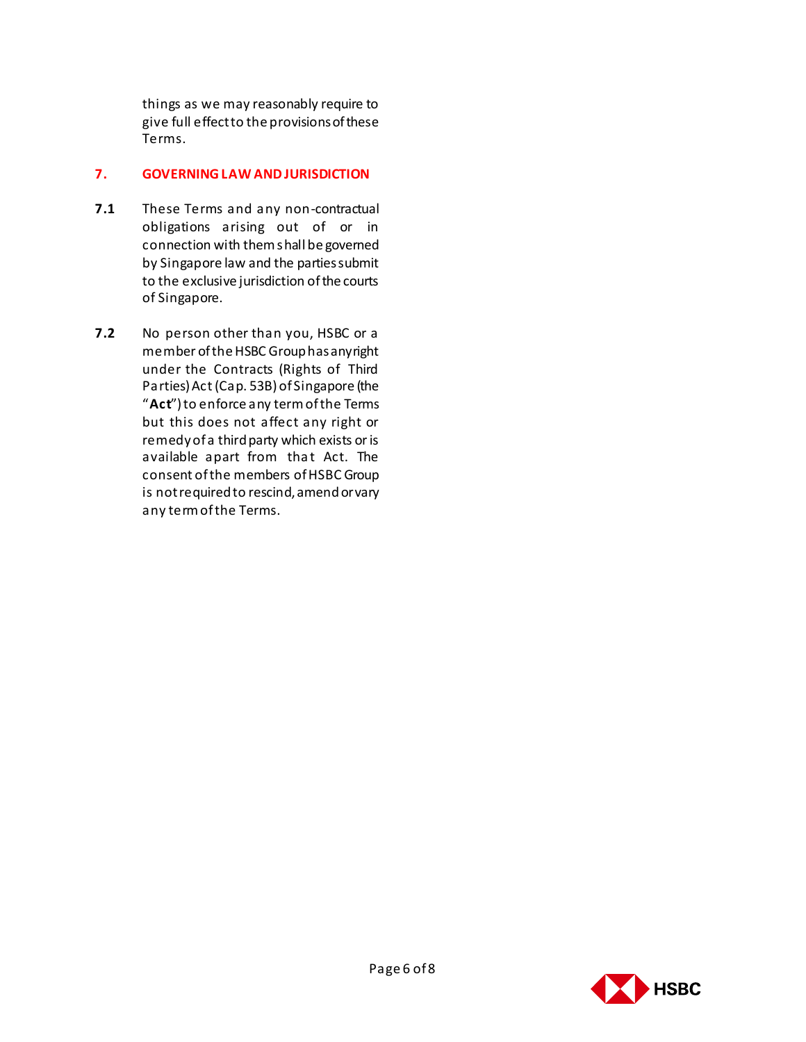things as we may reasonably require to give full effect to the provisions of these Terms.

#### **7. GOVERNING LAW AND JURISDICTION**

- **7.1** These Terms and any non-contractual obligations arising out of or in connection with them shall be governed by Singapore law and the parties submit to the exclusive jurisdiction of the courts of Singapore.
- **7.2** No person other than you, HSBC or a member of the HSBC Group has any right under the Contracts (Rights of Third Parties) Act (Cap. 53B) of Singapore (the "**Act**") to enforce any term of the Terms but this does not affect any right or remedy of a third party which exists or is available apart from that Act. The consent of the members of HSBC Group is not required to rescind, amend or vary any term of the Terms.

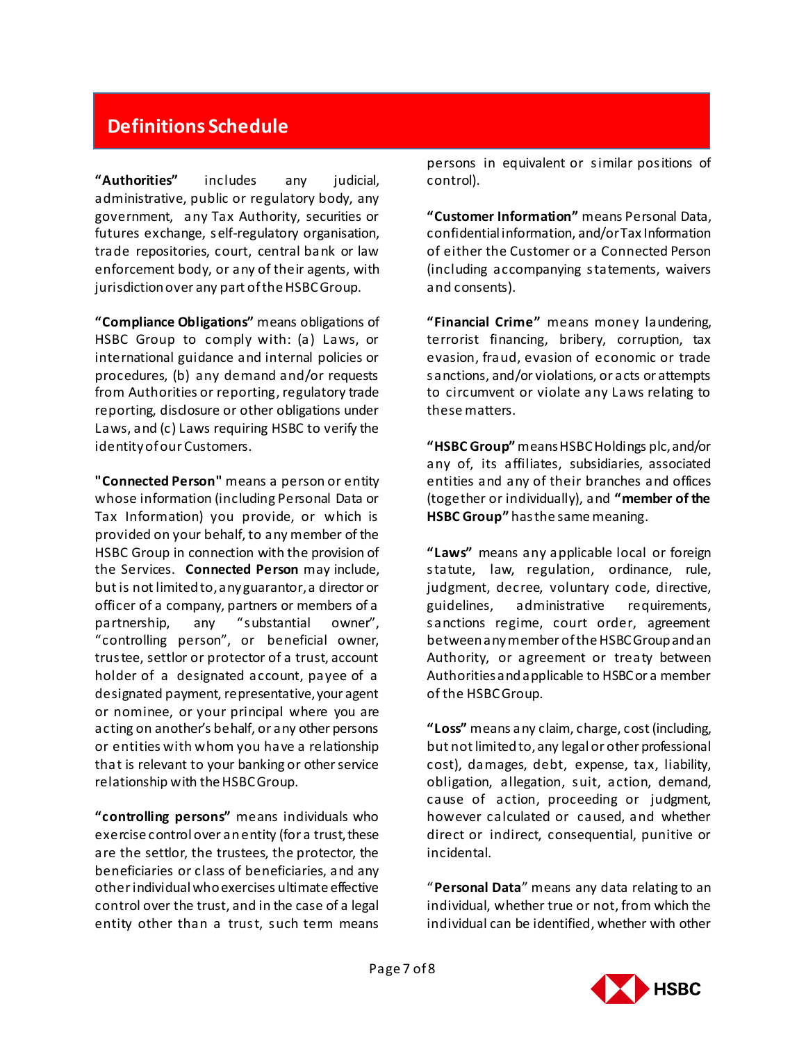# **Definitions Schedule**

**"Authorities"** includes any judicial, administrative, public or regulatory body, any government, any Tax Authority, securities or futures exchange, self-regulatory organisation, trade repositories, court, central bank or law enforcement body, or any of their agents, with jurisdiction over any part of the HSBC Group.

**"Compliance Obligations"** means obligations of HSBC Group to comply with: (a) Laws, or international guidance and internal policies or procedures, (b) any demand and/or requests from Authorities or reporting, regulatory trade reporting, disclosure or other obligations under Laws, and (c) Laws requiring HSBC to verify the identity of our Customers.

**"Connected Person"** means a person or entity whose information (including Personal Data or Tax Information) you provide, or which is provided on your behalf, to any member of the HSBC Group in connection with the provision of the Services. **Connected Person** may include, but is not limited to, any guarantor, a director or officer of a company, partners or members of a partnership, any "substantial owner", "controlling person", or beneficial owner, trustee, settlor or protector of a trust, account holder of a designated account, payee of a designated payment, representative, your agent or nominee, or your principal where you are acting on another's behalf, or any other persons or entities with whom you have a relationship that is relevant to your banking or other service relationship with the HSBC Group.

**"controlling persons"** means individuals who exercise control over an entity (for a trust, these are the settlor, the trustees, the protector, the beneficiaries or class of beneficiaries, and any other individual who exercises ultimate effective control over the trust, and in the case of a legal entity other than a trust, such term means

persons in equivalent or similar positions of control).

**"Customer Information"** means Personal Data, confidential information, and/or Tax Information of either the Customer or a Connected Person (including accompanying statements, waivers and consents).

**"Financial Crime"** means money laundering, terrorist financing, bribery, corruption, tax evasion, fraud, evasion of economic or trade sanctions, and/or violations, or acts or attempts to circumvent or violate any Laws relating to these matters.

**"HSBC Group"** means HSBC Holdings plc, and/or any of, its affiliates, subsidiaries, associated entities and any of their branches and offices (together or individually), and **"member of the HSBC Group"** has the same meaning.

**"Laws"** means any applicable local or foreign statute, law, regulation, ordinance, rule, judgment, decree, voluntary code, directive, guidelines, administrative requirements, sanctions regime, court order, agreement between any member of the HSBC Group and an Authority, or agreement or treaty between Authorities and applicable to HSBC or a member of the HSBC Group.

**"Loss"** means any claim, charge, cost (including, but not limited to, any legal or other professional cost), damages, debt, expense, tax, liability, obligation, allegation, suit, action, demand, cause of action, proceeding or judgment, however calculated or caused, and whether direct or indirect, consequential, punitive or incidental.

"**Personal Data**" means any data relating to an individual, whether true or not, from which the individual can be identified, whether with other